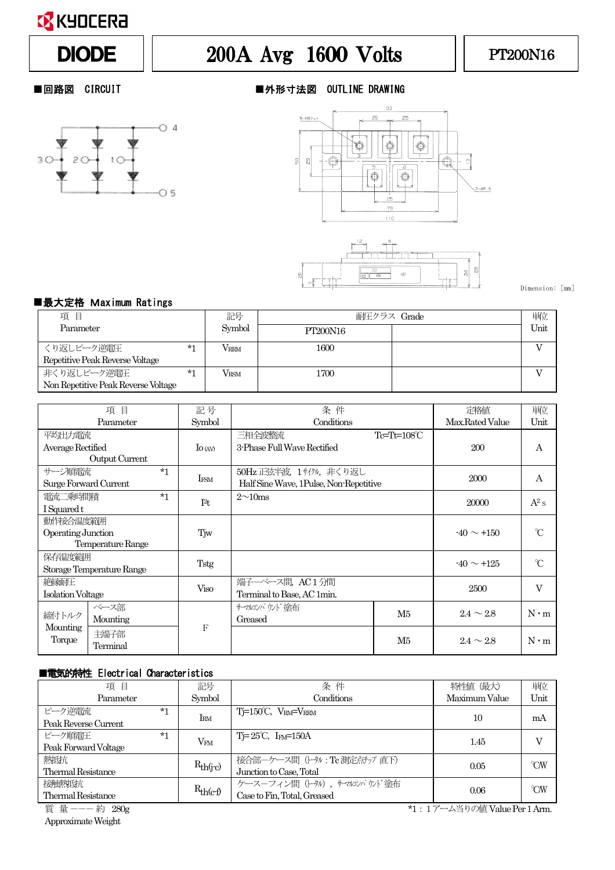

# DIODE | 200A Avg 1600 Volts | PT200N16

■回路図 CIRCUIT ■外形寸法図 OUTLINE DRAWING







Dimension: [mm]

### ■最大定格 Maximum Ratings

| 項目                                  |      | 記号                | 耐圧クラス Grade | 単位   |
|-------------------------------------|------|-------------------|-------------|------|
| Parameter                           |      | Symbol            | PT200N16    | Unit |
| くり返しピーク逆雷圧                          | $*1$ | Vrrm              | 1600        |      |
| Repetitive Peak Reverse Voltage     |      |                   |             |      |
| 非くり返しピーク逆電圧                         | *1   | $\rm V_{\rm RSM}$ | 1700        |      |
| Non Repetitive Peak Reverse Voltage |      |                   |             |      |

| 項<br>目                                          |                           | 記号     | 条件                         |                                        | 定格値                  | 単位              |              |
|-------------------------------------------------|---------------------------|--------|----------------------------|----------------------------------------|----------------------|-----------------|--------------|
| Parameter                                       |                           | Symbol | Conditions                 |                                        | Max.Rated Value      | Unit            |              |
| 平均出力電流                                          |                           |        |                            | 三相全波整流                                 | $Tc=Tt=108^{\circ}C$ |                 |              |
| Average Rectified                               |                           |        | $\log$                     | 3-Phase Full Wave Rectified            |                      | 200             | A            |
|                                                 | Output Current            |        |                            |                                        |                      |                 |              |
| サージ順雷流                                          |                           | $*1$   | I <sub>FSM</sub>           | 50Hz 正弦半波、1 サイクル、非くり返し                 |                      | 2000            | A            |
| Surge Forward Current                           |                           |        |                            | Half Sine Wave, 1Pulse, Non-Repetitive |                      |                 |              |
| 雷流二乗時間積                                         |                           | $*1$   | I <sup>2</sup> t           | $2\sim10ms$                            |                      |                 | $A^2 s$      |
| I Squared t                                     |                           |        |                            |                                        |                      | 20000           |              |
| 動作接合温度範囲                                        |                           |        |                            |                                        |                      |                 |              |
| Operating Junction                              |                           |        | Tjw                        |                                        |                      | $-40 \sim +150$ | $^{\circ}$ C |
|                                                 | Temperature Range         |        |                            |                                        |                      |                 |              |
| 保存温度範囲                                          |                           |        |                            |                                        |                      | $-40 \sim +125$ | $\infty$     |
|                                                 | Storage Temperature Range |        | Tstg                       |                                        |                      |                 |              |
| 絶縁耐圧<br><b>Viso</b><br><b>Isolation Voltage</b> |                           |        | 端子一ベース間、AC1分間              |                                        |                      | $\rm _V$        |              |
|                                                 |                           |        | Terminal to Base, AC 1min. |                                        | 2500                 |                 |              |
| ベース部<br>締付トルク<br>Mounting                       |                           |        |                            | サマルンパ ウバ 途布                            | M5                   | $2.4 \sim 2.8$  | $N \cdot m$  |
|                                                 |                           |        |                            | Greased                                |                      |                 |              |
|                                                 | Mounting<br>主端子部          |        | F                          |                                        |                      |                 |              |
| Torque<br>Terminal                              |                           |        |                            |                                        | M5                   | $2.4 \sim 2.8$  | $N \cdot m$  |

### ■電気的特性 Electrical Characteristics

| 項<br>目                    | 記号            | 条件                                        | 特性値 (最大)      | 単位   |
|---------------------------|---------------|-------------------------------------------|---------------|------|
| Parameter                 | Symbol        | Conditions                                | Maximum Value | Unit |
| ピーク逆雷流<br>$*1$            | $\rm I_{RM}$  | $Ti=150^{\circ}C$ , $V_{RM}=V_{RRM}$      | 10            | mA   |
| Peak Reverse Current      |               |                                           |               |      |
| ピーク順雷圧<br>$*1$            | $V_{FM}$      | $T = 25^{\circ}C$ , I <sub>FM</sub> =150A | 1.45          |      |
| Peak Forward Voltage      |               |                                           |               |      |
| 熱抵抗                       | $R_{th(j-c)}$ | 接合部ーケース間 (トタル: Tc 測定点チップ 直下)              | 0.05          | °CW  |
| <b>Thermal Resistance</b> |               | Junction to Case, Total                   |               |      |
| 接触熱抵抗                     |               | ケースーフィン間 (トタル), サマルンパウゾド塗布                |               | °CW  |
| <b>Thermal Resistance</b> | $R_{th(c-f)}$ | Case to Fin, Total, Greased               | 0.06          |      |

ApproximateWeight

質 量 −−−約 280g \*1:1アーム当りの値Value Per 1 Arm.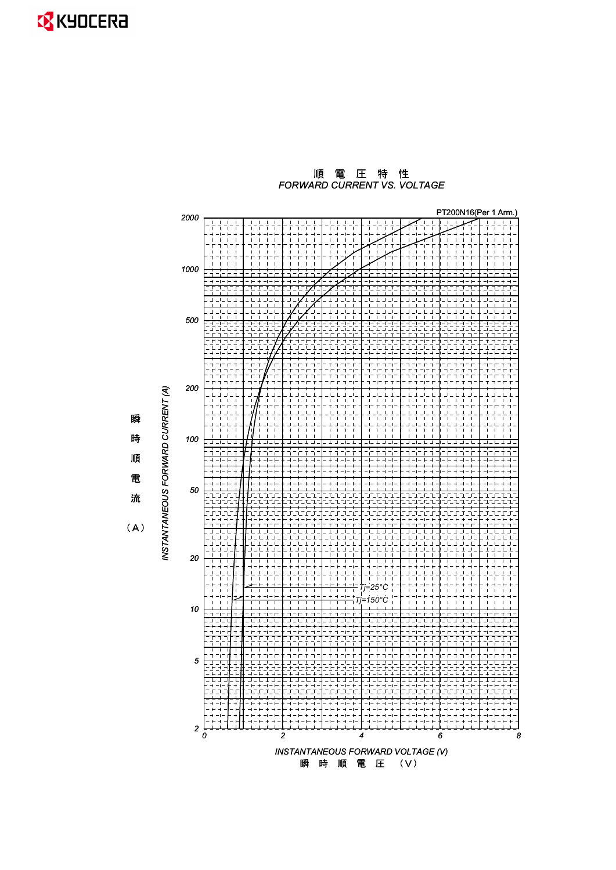### **EX** KYOCERA



*FORWARD CURRENT VS. VOLTAGE* 順電圧特性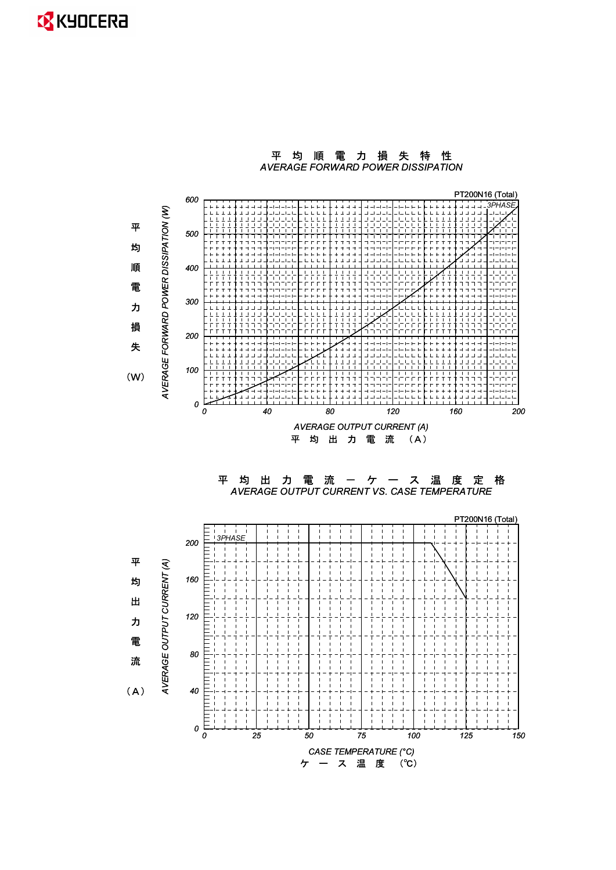### **EX** KYOCERA



平均 順電力損失特性

*AVERAGE FORWARD POWER DISSIPATION*